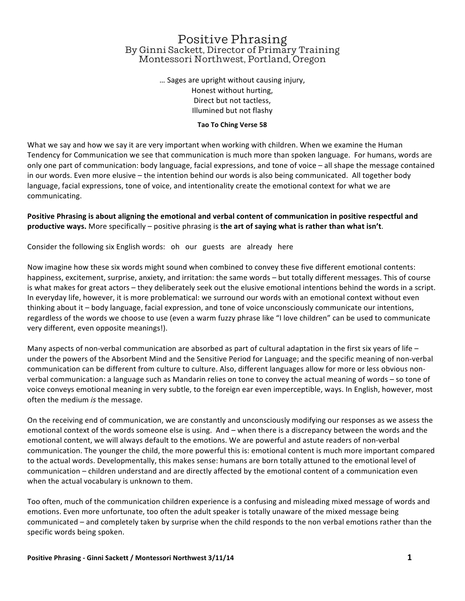# Positive Phrasing By Ginni Sackett, Director of Primary Training Montessori Northwest, Portland, Oregon

... Sages are upright without causing injury, Honest without hurting, Direct but not tactless, Illumined but not flashy

#### **Tao To Ching Verse 58**

What we say and how we say it are very important when working with children. When we examine the Human Tendency for Communication we see that communication is much more than spoken language. For humans, words are only one part of communication: body language, facial expressions, and tone of voice  $-$  all shape the message contained in our words. Even more elusive - the intention behind our words is also being communicated. All together body language, facial expressions, tone of voice, and intentionality create the emotional context for what we are communicating.

Positive Phrasing is about aligning the emotional and verbal content of communication in positive respectful and **productive ways.** More specifically – positive phrasing is the art of saying what is rather than what isn't.

Consider the following six English words: oh our guests are already here

Now imagine how these six words might sound when combined to convey these five different emotional contents: happiness, excitement, surprise, anxiety, and irritation: the same words – but totally different messages. This of course is what makes for great actors – they deliberately seek out the elusive emotional intentions behind the words in a script. In everyday life, however, it is more problematical: we surround our words with an emotional context without even thinking about it – body language, facial expression, and tone of voice unconsciously communicate our intentions, regardless of the words we choose to use (even a warm fuzzy phrase like "I love children" can be used to communicate very different, even opposite meanings!).

Many aspects of non-verbal communication are absorbed as part of cultural adaptation in the first six years of life – under the powers of the Absorbent Mind and the Sensitive Period for Language; and the specific meaning of non-verbal communication can be different from culture to culture. Also, different languages allow for more or less obvious nonverbal communication: a language such as Mandarin relies on tone to convey the actual meaning of words - so tone of voice conveys emotional meaning in very subtle, to the foreign ear even imperceptible, ways. In English, however, most often the medium *is* the message.

On the receiving end of communication, we are constantly and unconsciously modifying our responses as we assess the emotional context of the words someone else is using. And – when there is a discrepancy between the words and the emotional content, we will always default to the emotions. We are powerful and astute readers of non-verbal communication. The younger the child, the more powerful this is: emotional content is much more important compared to the actual words. Developmentally, this makes sense: humans are born totally attuned to the emotional level of communication – children understand and are directly affected by the emotional content of a communication even when the actual vocabulary is unknown to them.

Too often, much of the communication children experience is a confusing and misleading mixed message of words and emotions. Even more unfortunate, too often the adult speaker is totally unaware of the mixed message being communicated – and completely taken by surprise when the child responds to the non verbal emotions rather than the specific words being spoken.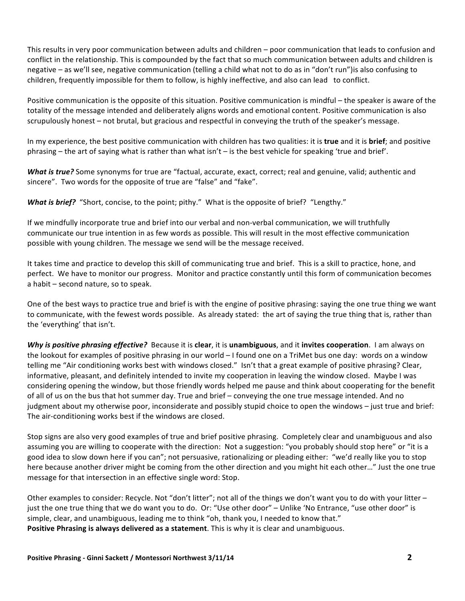This results in very poor communication between adults and children – poor communication that leads to confusion and conflict in the relationship. This is compounded by the fact that so much communication between adults and children is negative – as we'll see, negative communication (telling a child what not to do as in "don't run") is also confusing to children, frequently impossible for them to follow, is highly ineffective, and also can lead to conflict.

Positive communication is the opposite of this situation. Positive communication is mindful – the speaker is aware of the totality of the message intended and deliberately aligns words and emotional content. Positive communication is also scrupulously honest – not brutal, but gracious and respectful in conveying the truth of the speaker's message.

In my experience, the best positive communication with children has two qualities: it is true and it is brief; and positive phrasing – the art of saying what is rather than what  $\sin t$  – is the best vehicle for speaking 'true and brief'.

**What is true?** Some synonyms for true are "factual, accurate, exact, correct; real and genuine, valid; authentic and sincere". Two words for the opposite of true are "false" and "fake".

**What is brief?** "Short, concise, to the point; pithy." What is the opposite of brief? "Lengthy."

If we mindfully incorporate true and brief into our verbal and non-verbal communication, we will truthfully communicate our true intention in as few words as possible. This will result in the most effective communication possible with young children. The message we send will be the message received.

It takes time and practice to develop this skill of communicating true and brief. This is a skill to practice, hone, and perfect. We have to monitor our progress. Monitor and practice constantly until this form of communication becomes  $a$  habit  $-$  second nature, so to speak.

One of the best ways to practice true and brief is with the engine of positive phrasing: saying the one true thing we want to communicate, with the fewest words possible. As already stated: the art of saying the true thing that is, rather than the 'everything' that isn't.

**Why is positive phrasing effective?** Because it is clear, it is unambiguous, and it invites cooperation. I am always on the lookout for examples of positive phrasing in our world  $-1$  found one on a TriMet bus one day: words on a window telling me "Air conditioning works best with windows closed." Isn't that a great example of positive phrasing? Clear, informative, pleasant, and definitely intended to invite my cooperation in leaving the window closed. Maybe I was considering opening the window, but those friendly words helped me pause and think about cooperating for the benefit of all of us on the bus that hot summer day. True and brief – conveying the one true message intended. And no judgment about my otherwise poor, inconsiderate and possibly stupid choice to open the windows – just true and brief: The air-conditioning works best if the windows are closed.

Stop signs are also very good examples of true and brief positive phrasing. Completely clear and unambiguous and also assuming you are willing to cooperate with the direction: Not a suggestion: "you probably should stop here" or "it is a good idea to slow down here if you can"; not persuasive, rationalizing or pleading either: "we'd really like you to stop here because another driver might be coming from the other direction and you might hit each other…" Just the one true message for that intersection in an effective single word: Stop.

Other examples to consider: Recycle. Not "don't litter"; not all of the things we don't want you to do with your litter  $$ just the one true thing that we do want you to do. Or: "Use other door" – Unlike 'No Entrance, "use other door" is simple, clear, and unambiguous, leading me to think "oh, thank you, I needed to know that." **Positive Phrasing is always delivered as a statement**. This is why it is clear and unambiguous.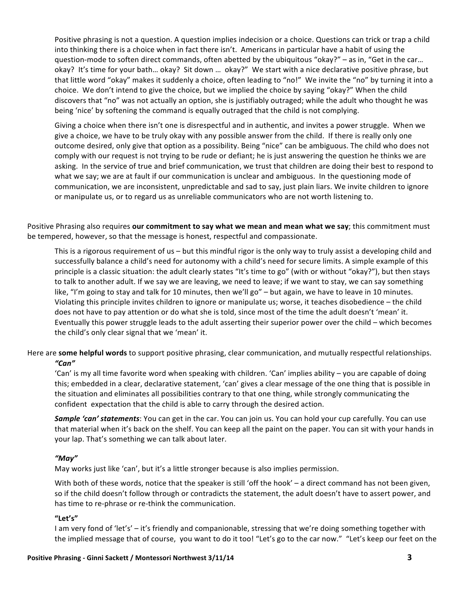Positive phrasing is not a question. A question implies indecision or a choice. Questions can trick or trap a child into thinking there is a choice when in fact there isn't. Americans in particular have a habit of using the question-mode to soften direct commands, often abetted by the ubiquitous "okay?" – as in, "Get in the car... okay? It's time for your bath... okay? Sit down ... okay?" We start with a nice declarative positive phrase, but that little word "okay" makes it suddenly a choice, often leading to "no!" We invite the "no" by turning it into a choice. We don't intend to give the choice, but we implied the choice by saying "okay?" When the child discovers that "no" was not actually an option, she is justifiably outraged; while the adult who thought he was being 'nice' by softening the command is equally outraged that the child is not complying.

Giving a choice when there isn't one is disrespectful and in authentic, and invites a power struggle. When we give a choice, we have to be truly okay with any possible answer from the child. If there is really only one outcome desired, only give that option as a possibility. Being "nice" can be ambiguous. The child who does not comply with our request is not trying to be rude or defiant; he is just answering the question he thinks we are asking. In the service of true and brief communication, we trust that children are doing their best to respond to what we say; we are at fault if our communication is unclear and ambiguous. In the questioning mode of communication, we are inconsistent, unpredictable and sad to say, just plain liars. We invite children to ignore or manipulate us, or to regard us as unreliable communicators who are not worth listening to.

Positive Phrasing also requires **our commitment to say what we mean and mean what we say**; this commitment must be tempered, however, so that the message is honest, respectful and compassionate.

This is a rigorous requirement of us – but this mindful rigor is the only way to truly assist a developing child and successfully balance a child's need for autonomy with a child's need for secure limits. A simple example of this principle is a classic situation: the adult clearly states "It's time to go" (with or without "okay?"), but then stays to talk to another adult. If we say we are leaving, we need to leave; if we want to stay, we can say something like, "I'm going to stay and talk for 10 minutes, then we'll go" – but again, we have to leave in 10 minutes. Violating this principle invites children to ignore or manipulate us; worse, it teaches disobedience – the child does not have to pay attention or do what she is told, since most of the time the adult doesn't 'mean' it. Eventually this power struggle leads to the adult asserting their superior power over the child – which becomes the child's only clear signal that we 'mean' it.

Here are **some helpful words** to support positive phrasing, clear communication, and mutually respectful relationships. *"Can"*

'Can' is my all time favorite word when speaking with children. 'Can' implies ability – you are capable of doing this; embedded in a clear, declarative statement, 'can' gives a clear message of the one thing that is possible in the situation and eliminates all possibilities contrary to that one thing, while strongly communicating the confident expectation that the child is able to carry through the desired action.

**Sample 'can' statements**: You can get in the car. You can join us. You can hold your cup carefully. You can use that material when it's back on the shelf. You can keep all the paint on the paper. You can sit with your hands in your lap. That's something we can talk about later.

### *"May"*

May works just like 'can', but it's a little stronger because is also implies permission.

With both of these words, notice that the speaker is still 'off the hook' – a direct command has not been given, so if the child doesn't follow through or contradicts the statement, the adult doesn't have to assert power, and has time to re-phrase or re-think the communication.

### **"Let's"**

I am very fond of 'let's' – it's friendly and companionable, stressing that we're doing something together with the implied message that of course, you want to do it too! "Let's go to the car now." "Let's keep our feet on the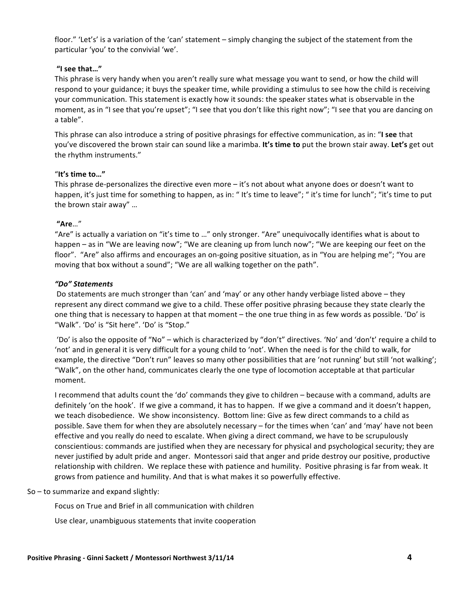floor." 'Let's' is a variation of the 'can' statement – simply changing the subject of the statement from the particular 'you' to the convivial 'we'.

# **"I see that…"**

This phrase is very handy when you aren't really sure what message you want to send, or how the child will respond to your guidance; it buys the speaker time, while providing a stimulus to see how the child is receiving your communication. This statement is exactly how it sounds: the speaker states what is observable in the moment, as in "I see that you're upset"; "I see that you don't like this right now"; "I see that you are dancing on a table". 

This phrase can also introduce a string of positive phrasings for effective communication, as in: "I see that you've discovered the brown stair can sound like a marimba. It's time to put the brown stair away. Let's get out the rhythm instruments."

### "**It's time to…"**

This phrase de-personalizes the directive even more  $-$  it's not about what anyone does or doesn't want to happen, it's just time for something to happen, as in: " It's time to leave"; " it's time for lunch"; "it's time to put the brown stair away" ...

# **"Are**…"

"Are" is actually a variation on "it's time to ..." only stronger. "Are" unequivocally identifies what is about to happen – as in "We are leaving now"; "We are cleaning up from lunch now"; "We are keeping our feet on the floor". "Are" also affirms and encourages an on-going positive situation, as in "You are helping me"; "You are moving that box without a sound"; "We are all walking together on the path".

# *"Do" Statements*

Do statements are much stronger than 'can' and 'may' or any other handy verbiage listed above – they represent any direct command we give to a child. These offer positive phrasing because they state clearly the one thing that is necessary to happen at that moment – the one true thing in as few words as possible. 'Do' is "Walk". 'Do' is "Sit here". 'Do' is "Stop."

'Do' is also the opposite of "No" – which is characterized by "don't" directives. 'No' and 'don't' require a child to 'not' and in general it is very difficult for a young child to 'not'. When the need is for the child to walk, for example, the directive "Don't run" leaves so many other possibilities that are 'not running' but still 'not walking'; "Walk", on the other hand, communicates clearly the one type of locomotion acceptable at that particular moment. 

I recommend that adults count the 'do' commands they give to children – because with a command, adults are definitely 'on the hook'. If we give a command, it has to happen. If we give a command and it doesn't happen, we teach disobedience. We show inconsistency. Bottom line: Give as few direct commands to a child as possible. Save them for when they are absolutely necessary – for the times when 'can' and 'may' have not been effective and you really do need to escalate. When giving a direct command, we have to be scrupulously conscientious: commands are justified when they are necessary for physical and psychological security; they are never justified by adult pride and anger. Montessori said that anger and pride destroy our positive, productive relationship with children. We replace these with patience and humility. Positive phrasing is far from weak. It grows from patience and humility. And that is what makes it so powerfully effective.

### $So - to summarize and expand slightly:$

Focus on True and Brief in all communication with children

Use clear, unambiguous statements that invite cooperation